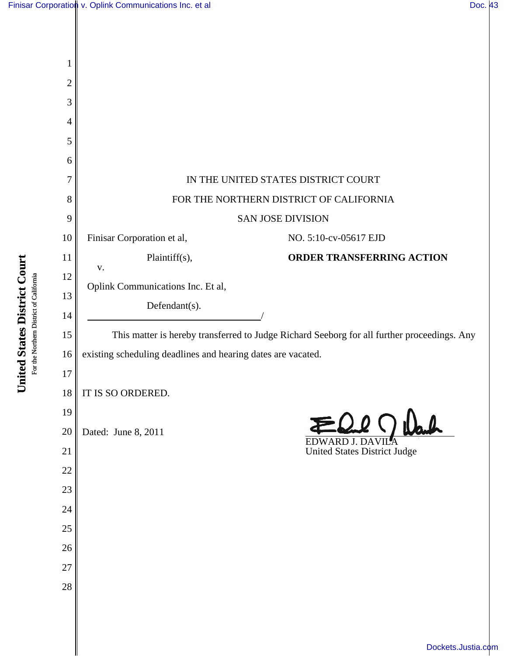**United States District Court** For the Northern District of California

United States District Court For the Northern District of California



[Dockets.Justia.com](http://dockets.justia.com/)